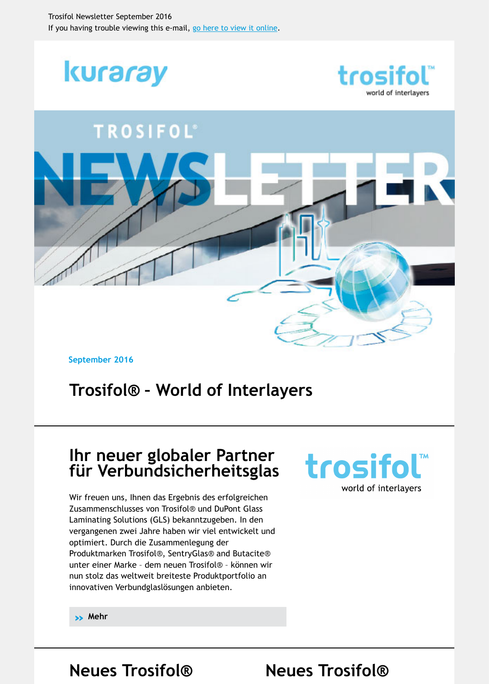

**September 2016**

# **[Trosifol® – World of Interlayers](https://login.mailingwork.de/-link2/7876/1381/7/47/3/DwxYaFHn/ZHSFV0LU3E/0)**

### **Ihr neuer globaler Partner für Verbundsicherheitsglas**

Wir freuen uns, Ihnen das Ergebnis des erfolgreichen Zusammenschlusses von Trosifol® und DuPont Glass Laminating Solutions (GLS) bekanntzugeben. In den vergangenen zwei Jahre haben wir viel entwickelt und optimiert. Durch die Zusammenlegung der Produktmarken Trosifol®, SentryGlas® and Butacite® unter einer Marke – dem neuen Trosifol® – können wir nun stolz das weltweit breiteste Produktportfolio an innovativen Verbundglaslösungen anbieten.



**» Mehr**

**Neues Trosifol® Neues Trosifol®**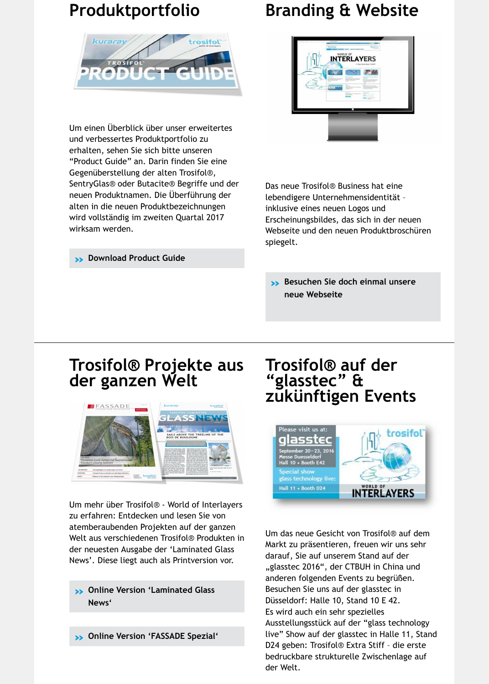Um einen Überblick über unser erweitertes und verbessertes Produktportfolio zu erhalten, sehen Sie sich bitte unseren "Product Guide" an. Darin finden Sie eine Gegenüberstellung der alten Trosifol®, [SentryGlas® oder Butacite® Begriffe und der](https://login.mailingwork.de/-link2/7876/1381/11/53/3/DwxYaFHn/ZHSFV0LU3E/0) neuen Produktnamen. Die Überführung der alten in die neuen Produktbezeichnungen wird vollständig im zweiten Quartal 2017 wirksam werden.

**» Download Product Guide**



Das neue Trosifol® Business hat eine lebendigere Unternehmensidentität – inklusive eines neuen Logos und Erscheinungsbildes, das sich in der neuen [Webseite und den neuen Produktbroschüren](https://login.mailingwork.de/-link2/7876/1381/5/57/3/DwxYaFHn/ZHSFV0LU3E/0) spiegelt.

**» Besuchen Sie doch einmal unsere neue Webseite**

### **Trosifol® Projekte aus d[er ganzen We](https://login.mailingwork.de/-link2/7876/1381/13/55/3/DwxYaFHn/ZHSFV0LU3E/0)lt**



Um mehr über Trosifol® - World of Interlayers zu erfahren: Entdecken und lesen Sie von atemberaubenden Projekten auf der ganzen [Welt aus verschiedenen Trosifol® Produkten in](https://login.mailingwork.de/-link2/7876/1381/15/61/3/DwxYaFHn/ZHSFV0LU3E/0) der neuesten Ausgabe der 'Laminated Glass News'. Diese liegt auch als Printversion vor.

- **» Online Version 'Laminated Glass News'**
- **» Online Version 'FASSADE Spezial'**

## **Trosifol® auf der "glasstec" & zukünftigen Events**



Um das neue Gesicht von Trosifol® auf dem Markt zu präsentieren, freuen wir uns sehr darauf, Sie auf unserem Stand auf der "glasstec 2016", der CTBUH in China und anderen folgenden Events zu begrüßen. Besuchen Sie uns auf der glasstec in Düsseldorf: Halle 10, Stand 10 E 42. Es wird auch ein sehr spezielles Ausstellungsstück auf der "glass technology live" Show auf der glasstec in Halle 11, Sta D24 geben: Trosifol® Extra Stiff – die erste bedruckbare strukturelle Zwischenlage auf der Welt.